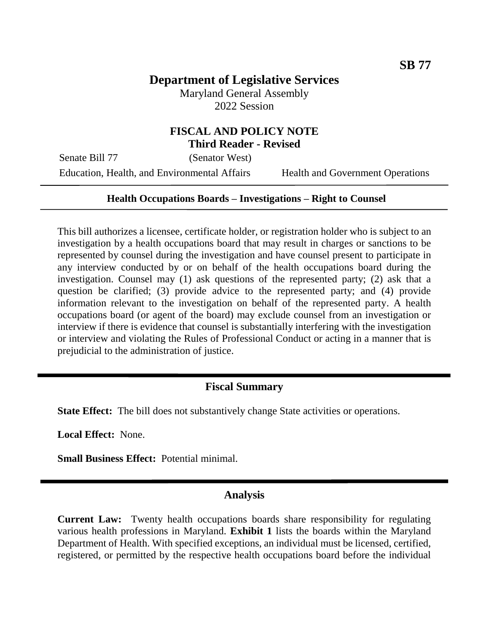# **Department of Legislative Services**

Maryland General Assembly 2022 Session

## **FISCAL AND POLICY NOTE Third Reader - Revised**

Senate Bill 77 (Senator West)

Education, Health, and Environmental Affairs Health and Government Operations

#### **Health Occupations Boards – Investigations – Right to Counsel**

This bill authorizes a licensee, certificate holder, or registration holder who is subject to an investigation by a health occupations board that may result in charges or sanctions to be represented by counsel during the investigation and have counsel present to participate in any interview conducted by or on behalf of the health occupations board during the investigation. Counsel may (1) ask questions of the represented party; (2) ask that a question be clarified; (3) provide advice to the represented party; and (4) provide information relevant to the investigation on behalf of the represented party. A health occupations board (or agent of the board) may exclude counsel from an investigation or interview if there is evidence that counsel is substantially interfering with the investigation or interview and violating the Rules of Professional Conduct or acting in a manner that is prejudicial to the administration of justice.

### **Fiscal Summary**

**State Effect:** The bill does not substantively change State activities or operations.

**Local Effect:** None.

**Small Business Effect:** Potential minimal.

#### **Analysis**

**Current Law:** Twenty health occupations boards share responsibility for regulating various health professions in Maryland. **Exhibit 1** lists the boards within the Maryland Department of Health. With specified exceptions, an individual must be licensed, certified, registered, or permitted by the respective health occupations board before the individual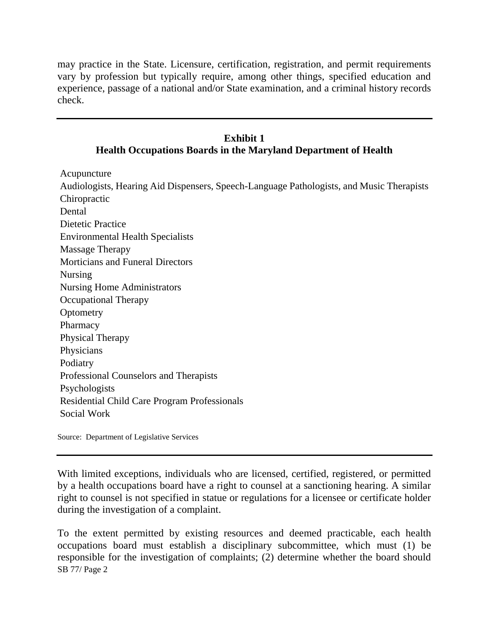may practice in the State. Licensure, certification, registration, and permit requirements vary by profession but typically require, among other things, specified education and experience, passage of a national and/or State examination, and a criminal history records check.

### **Exhibit 1 Health Occupations Boards in the Maryland Department of Health**

Acupuncture

Audiologists, Hearing Aid Dispensers, Speech-Language Pathologists, and Music Therapists Chiropractic Dental Dietetic Practice Environmental Health Specialists Massage Therapy Morticians and Funeral Directors Nursing Nursing Home Administrators Occupational Therapy **Optometry** Pharmacy Physical Therapy Physicians Podiatry Professional Counselors and Therapists Psychologists Residential Child Care Program Professionals Social Work

Source: Department of Legislative Services

With limited exceptions, individuals who are licensed, certified, registered, or permitted by a health occupations board have a right to counsel at a sanctioning hearing. A similar right to counsel is not specified in statue or regulations for a licensee or certificate holder during the investigation of a complaint.

SB 77/ Page 2 To the extent permitted by existing resources and deemed practicable, each health occupations board must establish a disciplinary subcommittee, which must (1) be responsible for the investigation of complaints; (2) determine whether the board should